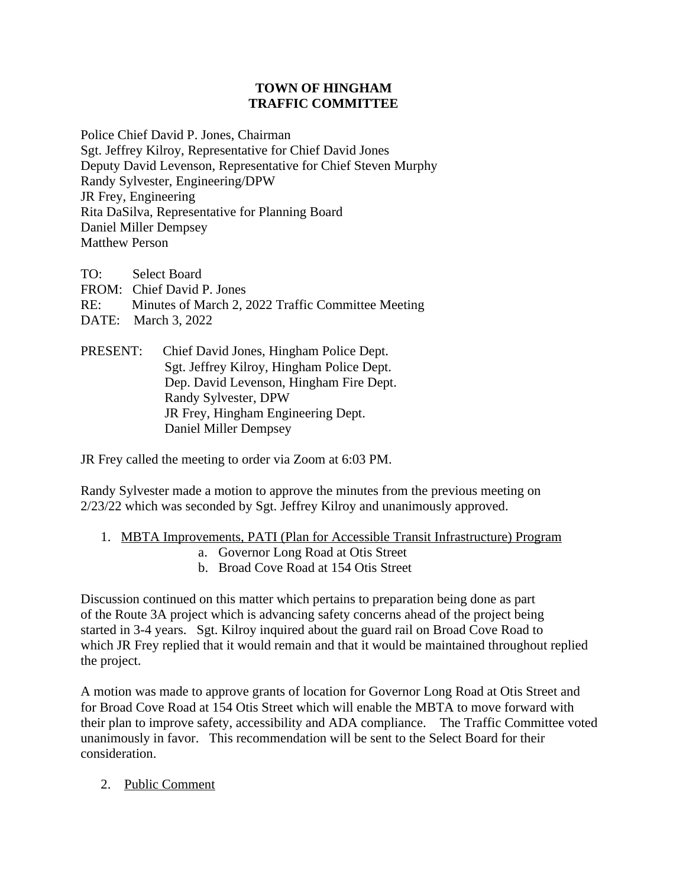## **TOWN OF HINGHAM TRAFFIC COMMITTEE**

Police Chief David P. Jones, Chairman Sgt. Jeffrey Kilroy, Representative for Chief David Jones Deputy David Levenson, Representative for Chief Steven Murphy Randy Sylvester, Engineering/DPW JR Frey, Engineering Rita DaSilva, Representative for Planning Board Daniel Miller Dempsey Matthew Person

TO: Select Board FROM: Chief David P. Jones RE: Minutes of March 2, 2022 Traffic Committee Meeting DATE: March 3, 2022

PRESENT: Chief David Jones, Hingham Police Dept. Sgt. Jeffrey Kilroy, Hingham Police Dept. Dep. David Levenson, Hingham Fire Dept. Randy Sylvester, DPW JR Frey, Hingham Engineering Dept. Daniel Miller Dempsey

JR Frey called the meeting to order via Zoom at 6:03 PM.

Randy Sylvester made a motion to approve the minutes from the previous meeting on 2/23/22 which was seconded by Sgt. Jeffrey Kilroy and unanimously approved.

- 1. MBTA Improvements, PATI (Plan for Accessible Transit Infrastructure) Program
	- a. Governor Long Road at Otis Street
	- b. Broad Cove Road at 154 Otis Street

Discussion continued on this matter which pertains to preparation being done as part of the Route 3A project which is advancing safety concerns ahead of the project being started in 3-4 years. Sgt. Kilroy inquired about the guard rail on Broad Cove Road to which JR Frey replied that it would remain and that it would be maintained throughout replied the project.

A motion was made to approve grants of location for Governor Long Road at Otis Street and for Broad Cove Road at 154 Otis Street which will enable the MBTA to move forward with their plan to improve safety, accessibility and ADA compliance. The Traffic Committee voted unanimously in favor. This recommendation will be sent to the Select Board for their consideration.

2. Public Comment